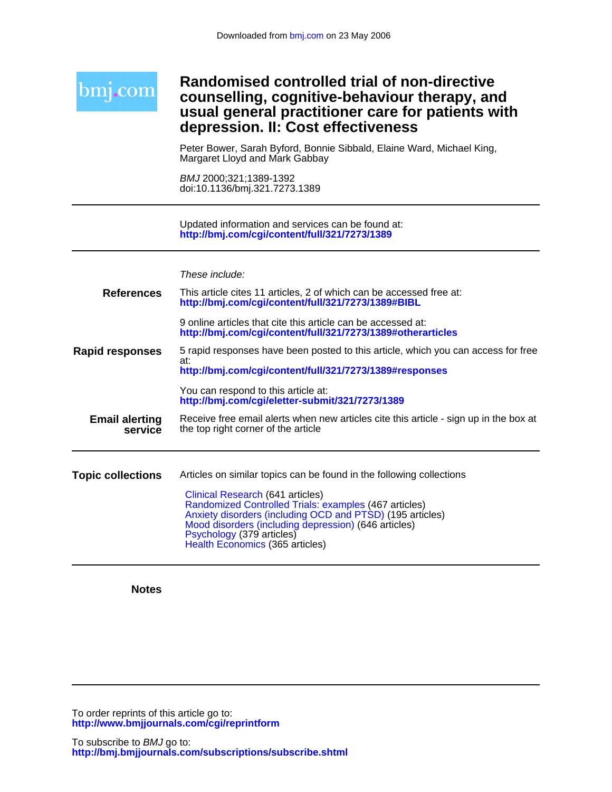| <b>bm1.com</b>                   | <b>Randomised controlled trial of non-directive</b><br>counselling, cognitive-behaviour therapy, and<br>usual general practitioner care for patients with<br>depression. II: Cost effectiveness                                                                                |
|----------------------------------|--------------------------------------------------------------------------------------------------------------------------------------------------------------------------------------------------------------------------------------------------------------------------------|
|                                  | Peter Bower, Sarah Byford, Bonnie Sibbald, Elaine Ward, Michael King,<br>Margaret Lloyd and Mark Gabbay                                                                                                                                                                        |
|                                  | BMJ 2000;321;1389-1392<br>doi:10.1136/bmj.321.7273.1389                                                                                                                                                                                                                        |
|                                  | Updated information and services can be found at:<br>http://bmj.com/cgi/content/full/321/7273/1389                                                                                                                                                                             |
|                                  | These include:                                                                                                                                                                                                                                                                 |
| <b>References</b>                | This article cites 11 articles, 2 of which can be accessed free at:<br>http://bmj.com/cgi/content/full/321/7273/1389#BIBL                                                                                                                                                      |
|                                  | 9 online articles that cite this article can be accessed at:<br>http://bmj.com/cgi/content/full/321/7273/1389#otherarticles                                                                                                                                                    |
| <b>Rapid responses</b>           | 5 rapid responses have been posted to this article, which you can access for free<br>at:<br>http://bmj.com/cgi/content/full/321/7273/1389#responses                                                                                                                            |
|                                  | You can respond to this article at:<br>http://bmj.com/cgi/eletter-submit/321/7273/1389                                                                                                                                                                                         |
| <b>Email alerting</b><br>service | Receive free email alerts when new articles cite this article - sign up in the box at<br>the top right corner of the article                                                                                                                                                   |
| <b>Topic collections</b>         | Articles on similar topics can be found in the following collections                                                                                                                                                                                                           |
|                                  | Clinical Research (641 articles)<br>Randomized Controlled Trials: examples (467 articles)<br>Anxiety disorders (including OCD and PTSD) (195 articles)<br>Mood disorders (including depression) (646 articles)<br>Psychology (379 articles)<br>Health Economics (365 articles) |

**Notes**

**<http://www.bmjjournals.com/cgi/reprintform>** To order reprints of this article go to: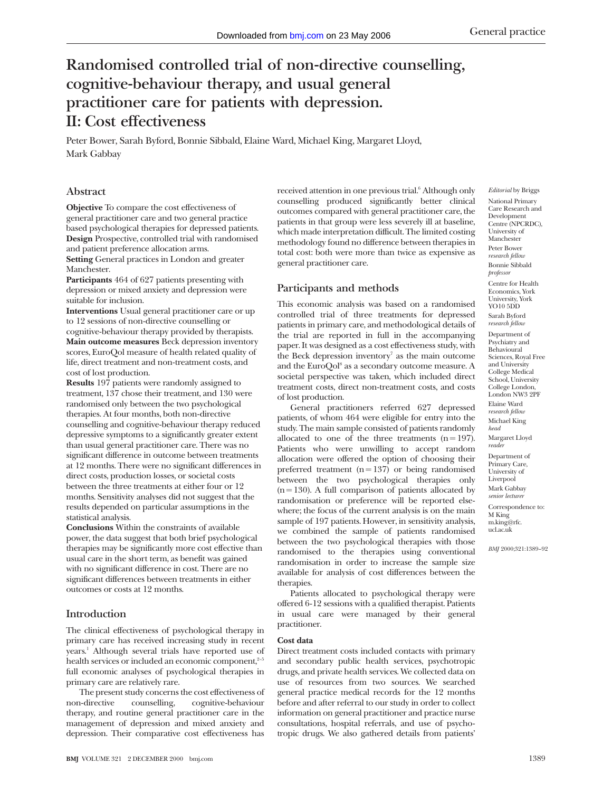# **Randomised controlled trial of non-directive counselling, cognitive-behaviour therapy, and usual general practitioner care for patients with depression. II: Cost effectiveness**

Peter Bower, Sarah Byford, Bonnie Sibbald, Elaine Ward, Michael King, Margaret Lloyd, Mark Gabbay

# **Abstract**

**Objective** To compare the cost effectiveness of general practitioner care and two general practice based psychological therapies for depressed patients. **Design** Prospective, controlled trial with randomised and patient preference allocation arms. **Setting** General practices in London and greater Manchester.

**Participants** 464 of 627 patients presenting with depression or mixed anxiety and depression were suitable for inclusion.

**Interventions** Usual general practitioner care or up to 12 sessions of non-directive counselling or cognitive-behaviour therapy provided by therapists. **Main outcome measures** Beck depression inventory scores, EuroQol measure of health related quality of life, direct treatment and non-treatment costs, and cost of lost production.

**Results** 197 patients were randomly assigned to treatment, 137 chose their treatment, and 130 were randomised only between the two psychological therapies. At four months, both non-directive counselling and cognitive-behaviour therapy reduced depressive symptoms to a significantly greater extent than usual general practitioner care. There was no significant difference in outcome between treatments at 12 months. There were no significant differences in direct costs, production losses, or societal costs between the three treatments at either four or 12 months. Sensitivity analyses did not suggest that the results depended on particular assumptions in the statistical analysis.

**Conclusions** Within the constraints of available power, the data suggest that both brief psychological therapies may be significantly more cost effective than usual care in the short term, as benefit was gained with no significant difference in cost. There are no significant differences between treatments in either outcomes or costs at 12 months.

# **Introduction**

The clinical effectiveness of psychological therapy in primary care has received increasing study in recent years.1 Although several trials have reported use of health services or included an economic component, $2-5$ full economic analyses of psychological therapies in primary care are relatively rare.

The present study concerns the cost effectiveness of non-directive counselling, cognitive-behaviour therapy, and routine general practitioner care in the management of depression and mixed anxiety and depression. Their comparative cost effectiveness has

received attention in one previous trial.<sup>6</sup> Although only counselling produced significantly better clinical outcomes compared with general practitioner care, the patients in that group were less severely ill at baseline, which made interpretation difficult. The limited costing methodology found no difference between therapies in total cost: both were more than twice as expensive as general practitioner care.

# **Participants and methods**

This economic analysis was based on a randomised controlled trial of three treatments for depressed patients in primary care, and methodological details of the trial are reported in full in the accompanying paper. It was designed as a cost effectiveness study, with the Beck depression inventory<sup>7</sup> as the main outcome and the  $EuroQol<sup>8</sup>$  as a secondary outcome measure. A societal perspective was taken, which included direct treatment costs, direct non-treatment costs, and costs of lost production.

General practitioners referred 627 depressed patients, of whom 464 were eligible for entry into the study. The main sample consisted of patients randomly allocated to one of the three treatments  $(n = 197)$ . Patients who were unwilling to accept random allocation were offered the option of choosing their preferred treatment  $(n = 137)$  or being randomised between the two psychological therapies only  $(n = 130)$ . A full comparison of patients allocated by randomisation or preference will be reported elsewhere; the focus of the current analysis is on the main sample of 197 patients. However, in sensitivity analysis, we combined the sample of patients randomised between the two psychological therapies with those randomised to the therapies using conventional randomisation in order to increase the sample size available for analysis of cost differences between the therapies.

Patients allocated to psychological therapy were offered 6-12 sessions with a qualified therapist. Patients in usual care were managed by their general practitioner.

#### **Cost data**

Direct treatment costs included contacts with primary and secondary public health services, psychotropic drugs, and private health services. We collected data on use of resources from two sources. We searched general practice medical records for the 12 months before and after referral to our study in order to collect information on general practitioner and practice nurse consultations, hospital referrals, and use of psychotropic drugs. We also gathered details from patients'

*Editorial* by Briggs National Primary Care Research and Development Centre (NPCRDC), University of Manchester Peter Bower *research fellow* Bonnie Sibbald *professor*

Centre for Health Economics, York University, York YO10 5DD Sarah Byford *research fellow*

Department of Psychiatry and Behavioural Sciences, Royal Free and University College Medical School, University College London, London NW3 2PF Elaine Ward *research fellow* Michael King *head* Margaret Lloyd *reader* Department of Primary Care, University of Liverpool Mark Gabbay *senior lecture* Correspondence to: M King m.king@rfc. ucl.ac.uk

*BMJ* 2000;321:1389–92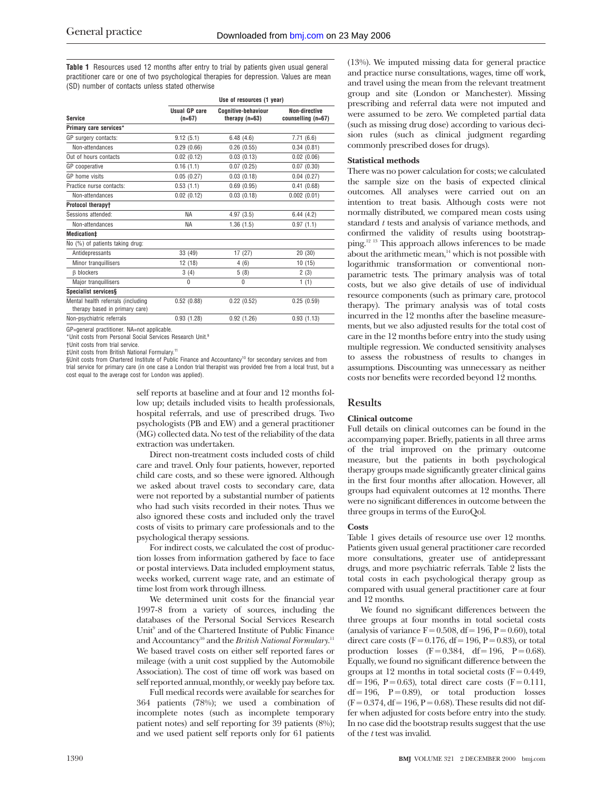**Table 1** Resources used 12 months after entry to trial by patients given usual general practitioner care or one of two psychological therapies for depression. Values are mean (SD) number of contacts unless stated otherwise

|                                                                      | Use of resources (1 year) |                                                |                                     |  |  |  |  |
|----------------------------------------------------------------------|---------------------------|------------------------------------------------|-------------------------------------|--|--|--|--|
| <b>Service</b>                                                       | Usual GP care<br>$(n=67)$ | <b>Counitive-behaviour</b><br>therapy $(n=63)$ | Non-directive<br>counselling (n=67) |  |  |  |  |
| Primary care services*                                               |                           |                                                |                                     |  |  |  |  |
| GP surgery contacts:                                                 | 9.12(5.1)                 | 6.48(4.6)                                      | 7.71(6.6)                           |  |  |  |  |
| Non-attendances                                                      | 0.29(0.66)                | 0.26(0.55)                                     | 0.34(0.81)                          |  |  |  |  |
| Out of hours contacts                                                | 0.02(0.12)                | 0.03(0.13)                                     | 0.02(0.06)                          |  |  |  |  |
| GP cooperative                                                       | 0.16(1.1)                 | 0.07(0.25)                                     | 0.07(0.30)                          |  |  |  |  |
| GP home visits                                                       | 0.05(0.27)                | 0.03(0.18)                                     | 0.04(0.27)                          |  |  |  |  |
| Practice nurse contacts:                                             | 0.53(1.1)                 | 0.69(0.95)                                     | 0.41(0.68)                          |  |  |  |  |
| Non-attendances                                                      | 0.02(0.12)                | 0.03(0.18)                                     | 0.002(0.01)                         |  |  |  |  |
| Protocol therapy+                                                    |                           |                                                |                                     |  |  |  |  |
| Sessions attended:                                                   | NA.                       | 4.97(3.5)                                      | 6.44(4.2)                           |  |  |  |  |
| Non-attendances                                                      | <b>NA</b>                 | 1.36(1.5)                                      | 0.97(1.1)                           |  |  |  |  |
| Medication#                                                          |                           |                                                |                                     |  |  |  |  |
| No (%) of patients taking drug:                                      |                           |                                                |                                     |  |  |  |  |
| Antidepressants                                                      | 33 (49)                   | 17(27)                                         | 20(30)                              |  |  |  |  |
| Minor tranquillisers                                                 | 12(18)                    | 4(6)                                           | 10(15)                              |  |  |  |  |
| $\beta$ blockers                                                     | 3(4)                      | 5(8)                                           | 2(3)                                |  |  |  |  |
| Major tranquillisers                                                 | $\Omega$                  | 0                                              | 1(1)                                |  |  |  |  |
| Specialist services§                                                 |                           |                                                |                                     |  |  |  |  |
| Mental health referrals (including<br>therapy based in primary care) | 0.52(0.88)                | 0.22(0.52)                                     | 0.25(0.59)                          |  |  |  |  |
| Non-psychiatric referrals                                            | 0.93(1.28)                | 0.92(1.26)                                     | 0.93(1.13)                          |  |  |  |  |
|                                                                      |                           |                                                |                                     |  |  |  |  |

GP=general practitioner. NA=not applicable.

\*Unit costs from Personal Social Services Research Unit.9

†Unit costs from trial service.

‡Unit costs from British National Formulary.11

§Unit costs from Chartered Institute of Public Finance and Accountancy<sup>10</sup> for secondary services and from trial service for primary care (in one case a London trial therapist was provided free from a local trust, but a cost equal to the average cost for London was applied).

> self reports at baseline and at four and 12 months follow up; details included visits to health professionals, hospital referrals, and use of prescribed drugs. Two psychologists (PB and EW) and a general practitioner (MG) collected data. No test of the reliability of the data extraction was undertaken.

> Direct non-treatment costs included costs of child care and travel. Only four patients, however, reported child care costs, and so these were ignored. Although we asked about travel costs to secondary care, data were not reported by a substantial number of patients who had such visits recorded in their notes. Thus we also ignored these costs and included only the travel costs of visits to primary care professionals and to the psychological therapy sessions.

> For indirect costs, we calculated the cost of production losses from information gathered by face to face or postal interviews. Data included employment status, weeks worked, current wage rate, and an estimate of time lost from work through illness.

> We determined unit costs for the financial year 1997-8 from a variety of sources, including the databases of the Personal Social Services Research Unit<sup>9</sup> and of the Chartered Institute of Public Finance and Accountancy<sup>10</sup> and the *British National Formulary*.<sup>11</sup> We based travel costs on either self reported fares or mileage (with a unit cost supplied by the Automobile Association). The cost of time off work was based on self reported annual, monthly, or weekly pay before tax.

> Full medical records were available for searches for 364 patients (78%); we used a combination of incomplete notes (such as incomplete temporary patient notes) and self reporting for 39 patients (8%); and we used patient self reports only for 61 patients

(13%). We imputed missing data for general practice and practice nurse consultations, wages, time off work, and travel using the mean from the relevant treatment group and site (London or Manchester). Missing prescribing and referral data were not imputed and were assumed to be zero. We completed partial data (such as missing drug dose) according to various decision rules (such as clinical judgment regarding commonly prescribed doses for drugs).

#### **Statistical methods**

There was no power calculation for costs; we calculated the sample size on the basis of expected clinical outcomes. All analyses were carried out on an intention to treat basis. Although costs were not normally distributed, we compared mean costs using standard *t* tests and analysis of variance methods, and confirmed the validity of results using bootstrapping.12 13 This approach allows inferences to be made about the arithmetic mean, $14$  which is not possible with logarithmic transformation or conventional nonparametric tests. The primary analysis was of total costs, but we also give details of use of individual resource components (such as primary care, protocol therapy). The primary analysis was of total costs incurred in the 12 months after the baseline measurements, but we also adjusted results for the total cost of care in the 12 months before entry into the study using multiple regression. We conducted sensitivity analyses to assess the robustness of results to changes in assumptions. Discounting was unnecessary as neither costs nor benefits were recorded beyond 12 months.

#### **Results**

#### **Clinical outcome**

Full details on clinical outcomes can be found in the accompanying paper. Briefly, patients in all three arms of the trial improved on the primary outcome measure, but the patients in both psychological therapy groups made significantly greater clinical gains in the first four months after allocation. However, all groups had equivalent outcomes at 12 months. There were no significant differences in outcome between the three groups in terms of the EuroQol.

#### **Costs**

Table 1 gives details of resource use over 12 months. Patients given usual general practitioner care recorded more consultations, greater use of antidepressant drugs, and more psychiatric referrals. Table 2 lists the total costs in each psychological therapy group as compared with usual general practitioner care at four and 12 months.

We found no significant differences between the three groups at four months in total societal costs (analysis of variance  $F = 0.508$ , df = 196, P = 0.60), total direct care costs ( $F = 0.176$ , df = 196, P = 0.83), or total production losses  $(F = 0.384, df = 196, P = 0.68)$ . Equally, we found no significant difference between the groups at 12 months in total societal costs ( $F = 0.449$ , df = 196, P = 0.63), total direct care costs  $(F = 0.111,$  $df = 196$ ,  $P = 0.89$ ), or total production losses  $(F = 0.374, df = 196, P = 0.68)$ . These results did not differ when adjusted for costs before entry into the study. In no case did the bootstrap results suggest that the use of the *t* test was invalid.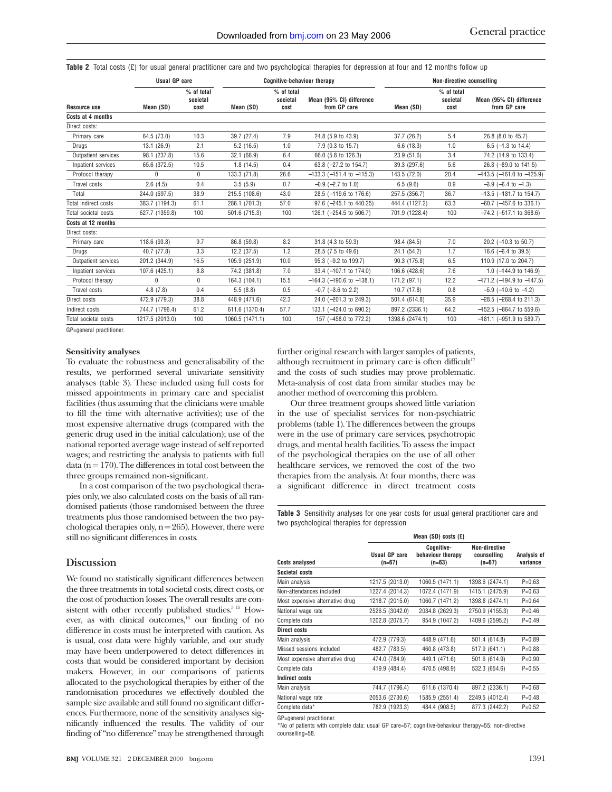Table 2 Total costs (£) for usual general practitioner care and two psychological therapies for depression at four and 12 months follow up

|                      | <b>Usual GP care</b> |                                | <b>Cognitive-behaviour therapy</b> |                                |                                          | Non-directive counselling |                                |                                          |
|----------------------|----------------------|--------------------------------|------------------------------------|--------------------------------|------------------------------------------|---------------------------|--------------------------------|------------------------------------------|
| <b>Resource use</b>  | Mean (SD)            | % of total<br>societal<br>cost | Mean (SD)                          | % of total<br>societal<br>cost | Mean (95% CI) difference<br>from GP care | Mean (SD)                 | % of total<br>societal<br>cost | Mean (95% CI) difference<br>from GP care |
| Costs at 4 months    |                      |                                |                                    |                                |                                          |                           |                                |                                          |
| Direct costs:        |                      |                                |                                    |                                |                                          |                           |                                |                                          |
| Primary care         | 64.5 (73.0)          | 10.3                           | 39.7 (27.4)                        | 7.9                            | 24.8 (5.9 to 43.9)                       | 37.7 (26.2)               | 5.4                            | 26.8 (8.0 to 45.7)                       |
| Drugs                | 13.1(26.9)           | 2.1                            | 5.2(16.5)                          | 1.0                            | 7.9 (0.3 to 15.7)                        | 6.6(18.3)                 | 1.0                            | 6.5 $(-1.3$ to 14.4)                     |
| Outpatient services  | 98.1 (237.8)         | 15.6                           | 32.1 (66.9)                        | 6.4                            | 66.0 (5.8 to 126.3)                      | 23.9(51.6)                | 3.4                            | 74.2 (14.9 to 133.4)                     |
| Inpatient services   | 65.6 (372.5)         | 10.5                           | 1.8(14.5)                          | 0.4                            | 63.8 (-27.2 to 154.7)                    | 39.3 (297.6)              | 5.6                            | 26.3 (-89.0 to 141.5)                    |
| Protocol therapy     | $\Omega$             | 0                              | 133.3 (71.8)                       | 26.6                           | $-133.3$ (-151.4 to $-115.3$ )           | 143.5 (72.0)              | 20.4                           | $-143.5$ (-161.0 to -125.9)              |
| Travel costs         | 2.6(4.5)             | 0.4                            | 3.5(5.9)                           | 0.7                            | $-0.9$ ( $-2.7$ to 1.0)                  | 6.5(9.6)                  | 0.9                            | $-3.9$ ( $-6.4$ to $-1.3$ )              |
| Total                | 244.0 (597.5)        | 38.9                           | 215.5 (108.6)                      | 43.0                           | 28.5 (-119.6 to 176.6)                   | 257.5 (356.7)             | 36.7                           | $-13.5$ ( $-181.7$ to 154.7)             |
| Total indirect costs | 383.7 (1194.3)       | 61.1                           | 286.1 (701.3)                      | 57.0                           | 97.6 (-245.1 to 440.25)                  | 444.4 (1127.2)            | 63.3                           | $-60.7$ ( $-457.6$ to 336.1)             |
| Total societal costs | 627.7 (1359.8)       | 100                            | 501.6 (715.3)                      | 100                            | 126.1 (-254.5 to 506.7)                  | 701.9 (1228.4)            | 100                            | $-74.2$ ( $-517.1$ to 368.6)             |
| Costs at 12 months   |                      |                                |                                    |                                |                                          |                           |                                |                                          |
| Direct costs:        |                      |                                |                                    |                                |                                          |                           |                                |                                          |
| Primary care         | 118.6 (93.8)         | 9.7                            | 86.8 (59.8)                        | 8.2                            | 31.8 (4.3 to 59.3)                       | 98.4 (84.5)               | 7.0                            | 20.2 (-10.3 to 50.7)                     |
| Drugs                | 40.7 (77.8)          | 3.3                            | 12.2(37.5)                         | 1.2                            | 28.5 (7.5 to 49.6)                       | 24.1 (54.2)               | 1.7                            | 16.6 $(-6.4 \text{ to } 39.5)$           |
| Outpatient services  | 201.2 (344.9)        | 16.5                           | 105.9 (251.9)                      | 10.0                           | 95.3 (-9.2 to 199.7)                     | 90.3 (175.8)              | 6.5                            | 110.9 (17.0 to 204.7)                    |
| Inpatient services   | 107.6 (425.1)        | 8.8                            | 74.2 (381.8)                       | 7.0                            | 33.4 (-107.1 to 174.0)                   | 106.6 (428.6)             | 7.6                            | 1.0 $(-144.9 \text{ to } 146.9)$         |
| Protocol therapy     | $\Omega$             | $\Omega$                       | 164.3 (104.1)                      | 15.5                           | $-164.3$ (-190.6 to $-138.1$ )           | 171.2 (97.1)              | 12.2                           | $-171.2$ (-194.9 to $-147.5$ )           |
| Travel costs         | 4.8(7.8)             | 0.4                            | 5.5(8.8)                           | 0.5                            | $-0.7$ ( $-3.6$ to 2.2)                  | 10.7(17.8)                | 0.8                            | $-5.9$ ( $-10.6$ to $-1.2$ )             |
| Direct costs         | 472.9 (779.3)        | 38.8                           | 448.9 (471.6)                      | 42.3                           | 24.0 (-201.3 to 249.3)                   | 501.4 (614.8)             | 35.9                           | $-28.5$ ( $-268.4$ to 211.3)             |
| Indirect costs       | 744.7 (1796.4)       | 61.2                           | 611.6 (1370.4)                     | 57.7                           | 133.1 (-424.0 to 690.2)                  | 897.2 (2336.1)            | 64.2                           | $-152.5$ ( $-864.7$ to 559.6)            |
| Total societal costs | 1217.5 (2013.0)      | 100                            | 1060.5 (1471.1)                    | 100                            | 157 (-458.0 to 772.2)                    | 1398.6 (2474.1)           | 100                            | $-181.1$ ( $-951.9$ to 589.7)            |

GP=general practitioner.

### **Sensitivity analyses**

To evaluate the robustness and generalisability of the results, we performed several univariate sensitivity analyses (table 3). These included using full costs for missed appointments in primary care and specialist facilities (thus assuming that the clinicians were unable to fill the time with alternative activities); use of the most expensive alternative drugs (compared with the generic drug used in the initial calculation); use of the national reported average wage instead of self reported wages; and restricting the analysis to patients with full data ( $n = 170$ ). The differences in total cost between the three groups remained non-significant.

In a cost comparison of the two psychological therapies only, we also calculated costs on the basis of all randomised patients (those randomised between the three treatments plus those randomised between the two psychological therapies only,  $n = 265$ ). However, there were still no significant differences in costs.

#### **Discussion**

We found no statistically significant differences between the three treatments in total societal costs, direct costs, or the cost of production losses. The overall results are consistent with other recently published studies.<sup>5 15</sup> However, as with clinical outcomes, $16$  our finding of no difference in costs must be interpreted with caution. As is usual, cost data were highly variable, and our study may have been underpowered to detect differences in costs that would be considered important by decision makers. However, in our comparisons of patients allocated to the psychological therapies by either of the randomisation procedures we effectively doubled the sample size available and still found no significant differences. Furthermore, none of the sensitivity analyses significantly influenced the results. The validity of our finding of "no difference" may be strengthened through further original research with larger samples of patients, although recruitment in primary care is often difficult<sup>17</sup> and the costs of such studies may prove problematic. Meta-analysis of cost data from similar studies may be another method of overcoming this problem.

Our three treatment groups showed little variation in the use of specialist services for non-psychiatric problems (table 1). The differences between the groups were in the use of primary care services, psychotropic drugs, and mental health facilities. To assess the impact of the psychological therapies on the use of all other healthcare services, we removed the cost of the two therapies from the analysis. At four months, there was a significant difference in direct treatment costs

**Table 3** Sensitivity analyses for one year costs for usual general practitioner care and two psychological therapies for depression

| <b>Costs analysed</b>           | Usual GP care<br>$(n=67)$ | Cognitive-<br>behaviour therapy<br>$(n=63)$ | Non-directive<br>counselling<br>$(n=67)$ | Analysis of<br>variance |
|---------------------------------|---------------------------|---------------------------------------------|------------------------------------------|-------------------------|
| Societal costs                  |                           |                                             |                                          |                         |
| Main analysis                   | 1217.5 (2013.0)           | 1060.5 (1471.1)                             | 1398.6 (2474.1)                          | $P = 0.63$              |
| Non-attendances included        | 1227.4 (2014.3)           | 1072.4 (1471.9)                             | 1415.1 (2475.9)                          | $P = 0.63$              |
| Most expensive alternative drug | 1218.7 (2015.0)           | 1060.7 (1471.2)                             | 1398.8 (2474.1)                          | $P = 0.64$              |
| National wage rate              | 2526.5 (3042.0)           | 2034.8 (2629.3)                             | 2750.9 (4155.3)                          | $P = 0.46$              |
| Complete data                   | 1202.8 (2075.7)           | 954.9 (1047.2)                              | 1409.6 (2595.2)                          | $P = 0.49$              |
| Direct costs                    |                           |                                             |                                          |                         |
| Main analysis                   | 472.9 (779.3)             | 448.9 (471.6)                               | 501.4 (614.8)                            | $P = 0.89$              |
| Missed sessions included        | 482.7 (783.5)             | 460.8 (473.8)                               | 517.9 (641.1)                            | $P = 0.88$              |
| Most expensive alternative drug | 474.0 (784.9)             | 449.1 (471.6)                               | 501.6 (614.9)                            | $P = 0.90$              |
| Complete data                   | 419.9 (484.4)             | 470.5 (498.9)                               | 532.3 (654.6)                            | $P = 0.55$              |
| Indirect costs                  |                           |                                             |                                          |                         |
| Main analysis                   | 744.7 (1796.4)            | 611.6 (1370.4)                              | 897.2 (2336.1)                           | $P = 0.68$              |
| National wage rate              | 2053.6 (2730.6)           | 1585.9 (2551.4)                             | 2249.5 (4012.4)                          | $P = 0.48$              |
| Complete data*                  | 782.9 (1923.3)            | 484.4 (908.5)                               | 877.3 (2442.2)                           | $P = 0.52$              |
|                                 |                           |                                             |                                          |                         |

GP=general practitioner.

\*No of patients with complete data: usual GP care=57; cognitive-behaviour therapy=55; non-directive counselling=58.